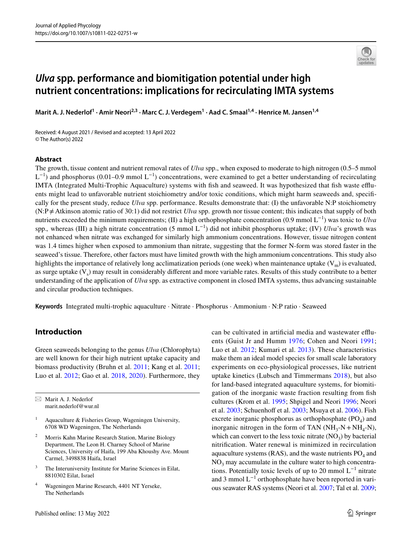# *Ulva* **spp. performance and biomitigation potential under high nutrient concentrations: implications for recirculating IMTA systems**

Marit A. J. Nederlof<sup>1</sup> · Amir Neori<sup>2,3</sup> · Marc C. J. Verdegem<sup>1</sup> · Aad C. Smaal<sup>1,4</sup> · Henrice M. Jansen<sup>1,4</sup>

Received: 4 August 2021 / Revised and accepted: 13 April 2022 © The Author(s) 2022

#### **Abstract**

The growth, tissue content and nutrient removal rates of *Ulva* spp., when exposed to moderate to high nitrogen (0.5–5 mmol  $L^{-1}$ ) and phosphorus (0.01–0.9 mmol  $L^{-1}$ ) concentrations, were examined to get a better understanding of recirculating IMTA (Integrated Multi-Trophic Aquaculture) systems with fish and seaweed. It was hypothesized that fish waste effluents might lead to unfavorable nutrient stoichiometry and/or toxic conditions, which might harm seaweeds and, specifcally for the present study, reduce *Ulva* spp. performance. Results demonstrate that: (I) the unfavorable N:P stoichiometry (N:P≠Atkinson atomic ratio of 30:1) did not restrict *Ulva* spp. growth nor tissue content; this indicates that supply of both nutrients exceeded the minimum requirements; (II) a high orthophosphate concentration (0.9 mmol L<sup>−1</sup>) was toxic to *Ulva* spp., whereas (III) a high nitrate concentration (5 mmol L<sup>−1</sup>) did not inhibit phosphorus uptake; (IV) *Ulva*'s growth was not enhanced when nitrate was exchanged for similarly high ammonium concentrations. However, tissue nitrogen content was 1.4 times higher when exposed to ammonium than nitrate, suggesting that the former N-form was stored faster in the seaweed's tissue. Therefore, other factors must have limited growth with the high ammonium concentrations. This study also highlights the importance of relatively long acclimatization periods (one week) when maintenance uptake  $(V_m)$  is evaluated, as surge uptake  $(V<sub>s</sub>)$  may result in considerably different and more variable rates. Results of this study contribute to a better understanding of the application of *Ulva* spp. as extractive component in closed IMTA systems, thus advancing sustainable and circular production techniques.

**Keywords** Integrated multi-trophic aquaculture · Nitrate · Phosphorus · Ammonium · N:P ratio · Seaweed

# **Introduction**

Green seaweeds belonging to the genus *Ulva* (Chlorophyta) are well known for their high nutrient uptake capacity and biomass productivity (Bruhn et al. [2011](#page-12-0); Kang et al. [2011](#page-13-0); Luo et al. [2012;](#page-13-1) Gao et al. [2018](#page-12-1), [2020\)](#page-12-2). Furthermore, they

 $\boxtimes$  Marit A. J. Nederlof marit.nederlof@wur.nl

- <sup>1</sup> Aquaculture & Fisheries Group, Wageningen University, 6708 WD Wageningen, The Netherlands
- <sup>2</sup> Morris Kahn Marine Research Station, Marine Biology Department, The Leon H. Charney School of Marine Sciences, University of Haifa, 199 Aba Khoushy Ave. Mount Carmel, 3498838 Haifa, Israel
- <sup>3</sup> The Interuniversity Institute for Marine Sciences in Eilat, 8810302 Eilat, Israel
- <sup>4</sup> Wageningen Marine Research, 4401 NT Yerseke, The Netherlands

can be cultivated in artifcial media and wastewater efuents (Guist Jr and Humm [1976](#page-12-3); Cohen and Neori [1991](#page-12-4); Luo et al. [2012](#page-13-1); Kumari et al. [2013\)](#page-13-2). These characteristics make them an ideal model species for small scale laboratory experiments on eco-physiological processes, like nutrient uptake kinetics (Lubsch and Timmermans [2018\)](#page-13-3), but also for land-based integrated aquaculture systems, for biomitigation of the inorganic waste fraction resulting from fsh cultures (Krom et al. [1995](#page-13-4); Shpigel and Neori [1996;](#page-14-0) Neori et al. [2003;](#page-13-5) Schuenhoff et al. [2003;](#page-14-1) Msuya et al. [2006\)](#page-13-6). Fish excrete inorganic phosphorus as orthophosphate  $(PO<sub>4</sub>)$  and inorganic nitrogen in the form of TAN ( $NH_3-N + NH_4-N$ ), which can convert to the less toxic nitrate  $(NO_3)$  by bacterial nitrifcation. Water renewal is minimized in recirculation aquaculture systems (RAS), and the waste nutrients  $PO<sub>4</sub>$  and  $NO<sub>3</sub>$  may accumulate in the culture water to high concentrations. Potentially toxic levels of up to 20 mmol  $L^{-1}$  nitrate and 3 mmol  $L^{-1}$  orthophosphate have been reported in various seawater RAS systems (Neori et al. [2007](#page-13-7); Tal et al. [2009](#page-14-2);

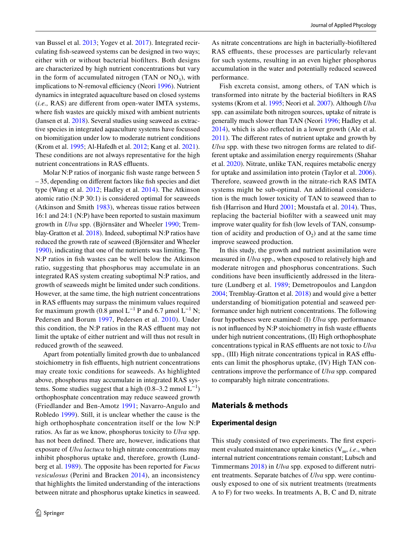van Bussel et al. [2013;](#page-14-3) Yogev et al. [2017\)](#page-14-4). Integrated recirculating fsh-seaweed systems can be designed in two ways; either with or without bacterial bioflters. Both designs are characterized by high nutrient concentrations but vary in the form of accumulated nitrogen (TAN or  $NO<sub>3</sub>$ ), with implications to N-removal efficiency (Neori [1996\)](#page-13-8). Nutrient dynamics in integrated aquaculture based on closed systems (*i.e.,* RAS) are diferent from open-water IMTA systems, where fsh wastes are quickly mixed with ambient nutrients (Jansen et al. [2018\)](#page-13-9). Several studies using seaweed as extractive species in integrated aquaculture systems have focussed on biomitigation under low to moderate nutrient conditions (Krom et al. [1995](#page-13-4); Al-Hafedh et al. [2012;](#page-12-5) Kang et al. [2021](#page-13-10)). These conditions are not always representative for the high nutrient concentrations in RAS effluents.

Molar N:P ratios of inorganic fish waste range between 5 – 35, depending on diferent factors like fsh species and diet type (Wang et al. [2012](#page-14-5); Hadley et al. [2014\)](#page-13-11). The Atkinson atomic ratio (N:P 30:1) is considered optimal for seaweeds (Atkinson and Smith [1983](#page-12-6)), whereas tissue ratios between 16:1 and 24:1 (N:P) have been reported to sustain maximum growth in *Ulva* spp. (Björnsäter and Wheeler [1990](#page-12-7); Tremblay-Gratton et al. [2018\)](#page-14-6). Indeed, suboptimal N:P ratios have reduced the growth rate of seaweed (Björnsäter and Wheeler [1990](#page-12-7)), indicating that one of the nutrients was limiting. The N:P ratios in fsh wastes can be well below the Atkinson ratio, suggesting that phosphorus may accumulate in an integrated RAS system creating suboptimal N:P ratios, and growth of seaweeds might be limited under such conditions. However, at the same time, the high nutrient concentrations in RAS effluents may surpass the minimum values required for maximum growth (0.8 µmol L<sup>-1</sup> P and 6.7 µmol L<sup>-1</sup> N; Pedersen and Borum [1997,](#page-13-12) Pedersen et al. [2010](#page-13-13)). Under this condition, the N:P ratios in the RAS effluent may not limit the uptake of either nutrient and will thus not result in reduced growth of the seaweed.

Apart from potentially limited growth due to unbalanced stoichiometry in fish effluents, high nutrient concentrations may create toxic conditions for seaweeds. As highlighted above, phosphorus may accumulate in integrated RAS systems. Some studies suggest that a high  $(0.8-3.2 \text{ mmol L}^{-1})$ orthophosphate concentration may reduce seaweed growth (Friedlander and Ben-Amotz [1991;](#page-12-8) Navarro-Angulo and Robledo [1999](#page-13-14)). Still, it is unclear whether the cause is the high orthophosphate concentration itself or the low N:P ratios. As far as we know, phosphorus toxicity to *Ulva* spp. has not been defned. There are, however, indications that exposure of *Ulva lactuca* to high nitrate concentrations may inhibit phosphorus uptake and, therefore, growth (Lundberg et al. [1989\)](#page-13-15). The opposite has been reported for *Fucus vesiculosus* (Perini and Bracken [2014](#page-13-16)), an inconsistency that highlights the limited understanding of the interactions between nitrate and phosphorus uptake kinetics in seaweed.

As nitrate concentrations are high in bacterially-biofltered RAS effluents, these processes are particularly relevant for such systems, resulting in an even higher phosphorus accumulation in the water and potentially reduced seaweed performance.

Fish excreta consist, among others, of TAN which is transformed into nitrate by the bacterial bioflters in RAS systems (Krom et al. [1995](#page-13-4); Neori et al. [2007](#page-13-7)). Although *Ulva* spp. can assimilate both nitrogen sources, uptake of nitrate is generally much slower than TAN (Neori [1996](#page-13-8); Hadley et al. [2014](#page-13-11)), which is also refected in a lower growth (Ale et al. [2011](#page-12-9)). The diferent rates of nutrient uptake and growth by *Ulva* spp. with these two nitrogen forms are related to different uptake and assimilation energy requirements (Shahar et al. [2020\)](#page-14-7). Nitrate, unlike TAN, requires metabolic energy for uptake and assimilation into protein (Taylor et al. [2006](#page-14-8)). Therefore, seaweed growth in the nitrate-rich RAS IMTA systems might be sub-optimal. An additional consideration is the much lower toxicity of TAN to seaweed than to fish (Harrison and Hurd [2001](#page-13-17); Moustafa et al. [2014](#page-13-18)). Thus, replacing the bacterial bioflter with a seaweed unit may improve water quality for fsh (low levels of TAN, consumption of acidity and production of  $O_2$ ) and at the same time improve seaweed production.

In this study, the growth and nutrient assimilation were measured in *Ulva* spp., when exposed to relatively high and moderate nitrogen and phosphorus concentrations. Such conditions have been insufficiently addressed in the literature (Lundberg et al. [1989;](#page-13-15) Demetropoulos and Langdon [2004](#page-12-10); Tremblay-Gratton et al. [2018\)](#page-14-6) and would give a better understanding of biomitigation potential and seaweed performance under high nutrient concentrations. The following four hypotheses were examined: (I) *Ulva* spp. performance is not influenced by N:P stoichiometry in fish waste effluents under high nutrient concentrations, (II) High orthophosphate concentrations typical in RAS effluents are not toxic to *Ulva* spp*.,* (III) High nitrate concentrations typical in RAS efuents can limit the phosphorus uptake, (IV) High TAN concentrations improve the performance of *Ulva* spp. compared to comparably high nitrate concentrations.

## **Materials & methods**

#### **Experimental design**

This study consisted of two experiments. The frst experiment evaluated maintenance uptake kinetics  $(V_m, i.e.,$  when internal nutrient concentrations remain constant; Lubsch and Timmermans [2018\)](#page-13-3) in *Ulva* spp. exposed to diferent nutrient treatments. Separate batches of *Ulva* spp. were continuously exposed to one of six nutrient treatments (treatments A to F) for two weeks. In treatments A, B, C and D, nitrate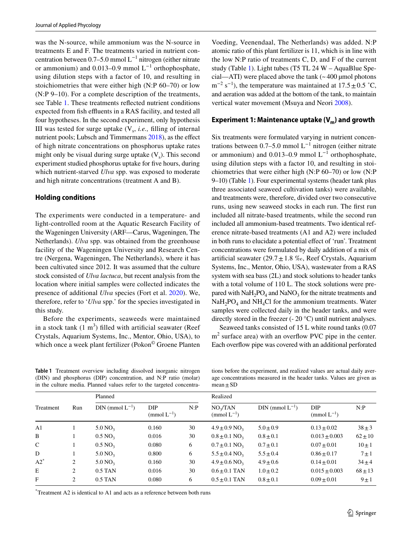was the N-source, while ammonium was the N-source in treatments E and F. The treatments varied in nutrient concentration between 0.7–5.0 mmol L−1 nitrogen (either nitrate or ammonium) and 0.013–0.9 mmol  $L^{-1}$  orthophosphate, using dilution steps with a factor of 10, and resulting in stoichiometries that were either high (N:P 60–70) or low (N:P 9–10). For a complete description of the treatments, see Table [1](#page-2-0). These treatments refected nutrient conditions expected from fish effluents in a RAS facility, and tested all four hypotheses. In the second experiment, only hypothesis III was tested for surge uptake  $(V_s, i.e.,$  filling of internal nutrient pools; Lubsch and Timmermans [2018](#page-13-3)), as the effect of high nitrate concentrations on phosphorus uptake rates might only be visual during surge uptake  $(V_s)$ . This second experiment studied phosphorus uptake for fve hours, during which nutrient-starved *Ulva* spp. was exposed to moderate and high nitrate concentrations (treatment A and B).

### **Holding conditions**

The experiments were conducted in a temperature- and light-controlled room at the Aquatic Research Facility of the Wageningen University (ARF—Carus, Wageningen, The Netherlands). *Ulva* spp. was obtained from the greenhouse facility of the Wageningen University and Research Centre (Nergena, Wageningen, The Netherlands), where it has been cultivated since 2012. It was assumed that the culture stock consisted of *Ulva lactuca*, but recent analysis from the location where initial samples were collected indicates the presence of additional *Ulva* species (Fort et al. [2020](#page-12-11)). We, therefore, refer to '*Ulva* spp.' for the species investigated in this study.

Before the experiments, seaweeds were maintained in a stock tank  $(1 \text{ m}^3)$  filled with artificial seawater (Reef Crystals, Aquarium Systems, Inc., Mentor, Ohio, USA), to which once a week plant fertilizer (Pokon<sup>©</sup> Groene Planten

Voeding, Veenendaal, The Netherlands) was added. N:P atomic ratio of this plant fertilizer is 11, which is in line with the low N:P ratio of treatments C, D, and F of the current study (Table [1\)](#page-2-0). Light tubes (T5 TL 24 W – AquaBlue Special—ATI) were placed above the tank  $\left(\sim 400 \text{ }\mu\text{mol} \right)$  photons  $m^{-2}$  s<sup>-1</sup>), the temperature was maintained at 17.5 ± 0.5 °C, and aeration was added at the bottom of the tank, to maintain vertical water movement (Msuya and Neori [2008\)](#page-13-19).

# **Experiment 1: Maintenance uptake (V<sub>m</sub>) and growth**

Six treatments were formulated varying in nutrient concentrations between 0.7–5.0 mmol  $L^{-1}$  nitrogen (either nitrate or ammonium) and 0.013–0.9 mmol  $L^{-1}$  orthophosphate, using dilution steps with a factor 10, and resulting in stoichiometries that were either high (N:P 60–70) or low (N:P 9–10) (Table [1](#page-2-0)). Four experimental systems (header tank plus three associated seaweed cultivation tanks) were available, and treatments were, therefore, divided over two consecutive runs, using new seaweed stocks in each run. The frst run included all nitrate-based treatments, while the second run included all ammonium-based treatments. Two identical reference nitrate-based treatments (A1 and A2) were included in both runs to elucidate a potential efect of 'run'. Treatment concentrations were formulated by daily addition of a mix of artificial seawater  $(29.7 \pm 1.8 \%$ , Reef Crystals, Aquarium Systems, Inc., Mentor, Ohio, USA), wastewater from a RAS system with sea bass (2L) and stock solutions to header tanks with a total volume of 110 L. The stock solutions were prepared with  $NAH<sub>2</sub>PO<sub>4</sub>$  and  $NaNO<sub>3</sub>$  for the nitrate treatments and  $NaH<sub>2</sub>PO<sub>4</sub>$  and  $NH<sub>4</sub>Cl$  for the ammonium treatments. Water samples were collected daily in the header tanks, and were directly stored in the freezer (- 20 °C) until nutrient analyses.

Seaweed tanks consisted of 15 L white round tanks (0.07  $m<sup>2</sup>$  surface area) with an overflow PVC pipe in the center. Each overfow pipe was covered with an additional perforated

<span id="page-2-0"></span>**Table 1** Treatment overview including dissolved inorganic nitrogen (DIN) and phosphorus (DIP) concentration, and N:P ratio (molar) in the culture media. Planned values refer to the targeted concentra-

tions before the experiment, and realized values are actual daily average concentrations measured in the header tanks. Values are given as  $mean \pm SD$ 

|                |                | Planned                |                               |     | Realized                                 |                        |                                |             |
|----------------|----------------|------------------------|-------------------------------|-----|------------------------------------------|------------------------|--------------------------------|-------------|
| Treatment      | Run            | $DIN$ (mmol $L^{-1}$ ) | <b>DIP</b><br>$\pmod{L^{-1}}$ | N:P | NO <sub>3</sub> /TAN<br>(mmol $L^{-1}$ ) | $DIN$ (mmol $L^{-1}$ ) | <b>DIP</b><br>(mmol $L^{-1}$ ) | N:P         |
| A <sub>1</sub> |                | $5.0\,\mathrm{NO}_3$   | 0.160                         | 30  | $4.9 \pm 0.9$ NO <sub>3</sub>            | $5.0 \pm 0.9$          | $0.13 \pm 0.02$                | $38 \pm 3$  |
| B              |                | $0.5 \text{ NO}_3$     | 0.016                         | 30  | $0.8 \pm 0.1$ NO <sub>3</sub>            | $0.8 \pm 0.1$          | $0.013 \pm 0.003$              | $62 \pm 10$ |
| $\mathcal{C}$  |                | $0.5 \text{ NO}_3$     | 0.080                         | 6   | $0.7 \pm 0.1$ NO <sub>3</sub>            | $0.7 \pm 0.1$          | $0.07 \pm 0.01$                | $10 \pm 1$  |
| D              |                | $5.0\,\mathrm{NO}_3$   | 0.800                         | 6   | $5.5 \pm 0.4$ NO <sub>3</sub>            | $5.5 \pm 0.4$          | $0.86 \pm 0.17$                | $7 \pm 1$   |
| $A2^*$         | 2              | $5.0\,\mathrm{NO}_3$   | 0.160                         | 30  | $4.9 \pm 0.6$ NO <sub>3</sub>            | $4.9 \pm 0.6$          | $0.14 \pm 0.01$                | $34 + 4$    |
| E              | 2              | $0.5$ TAN              | 0.016                         | 30  | $0.6 \pm 0.1$ TAN                        | $1.0 \pm 0.2$          | $0.015 \pm 0.003$              | $68 + 13$   |
| F              | $\overline{c}$ | $0.5$ TAN              | 0.080                         | 6   | $0.5 \pm 0.1$ TAN                        | $0.8 \pm 0.1$          | $0.09 \pm 0.01$                | $9 \pm 1$   |

\* Treatment A2 is identical to A1 and acts as a reference between both runs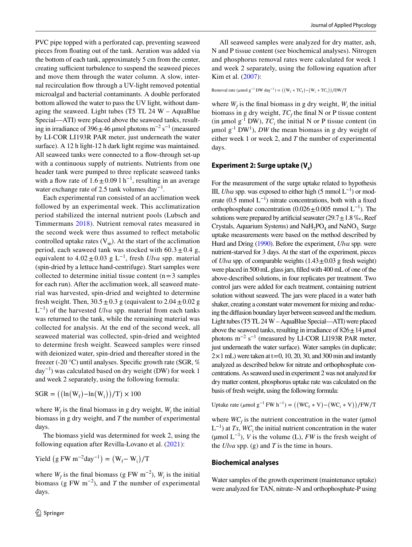PVC pipe topped with a perforated cap, preventing seaweed pieces from foating out of the tank. Aeration was added via the bottom of each tank, approximately 5 cm from the center, creating sufficient turbulence to suspend the seaweed pieces and move them through the water column. A slow, internal recirculation fow through a UV-light removed potential microalgal and bacterial contaminants. A double perforated bottom allowed the water to pass the UV light, without damaging the seaweed. Light tubes (T5 TL  $24$  W – AquaBlue Special—ATI) were placed above the seaweed tanks, resulting in irradiance of 396 $\pm$ 46 µmol photons m<sup>-2</sup> s<sup>-1</sup> (measured by LI-COR LI193R PAR meter, just underneath the water surface). A 12 h light-12 h dark light regime was maintained. All seaweed tanks were connected to a flow-through set-up with a continuous supply of nutrients. Nutrients from one header tank were pumped to three replicate seaweed tanks with a flow rate of  $1.6 \pm 0.09$  l h<sup>-1</sup>, resulting in an average water exchange rate of 2.5 tank volumes day<sup>-1</sup>.

Each experimental run consisted of an acclimation week followed by an experimental week. This acclimatization period stabilized the internal nutrient pools (Lubsch and Timmermans [2018](#page-13-3)). Nutrient removal rates measured in the second week were thus assumed to refect metabolic controlled uptake rates  $(V_m)$ . At the start of the acclimation period, each seaweed tank was stocked with  $60.3 \pm 0.4$  g, equivalent to 4.02±0.03 g L−1, fresh *Ulva* spp. material (spin-dried by a lettuce hand-centrifuge). Start samples were collected to determine initial tissue content  $(n=3 \text{ samples})$ for each run). After the acclimation week, all seaweed material was harvested, spin-dried and weighted to determine fresh weight. Then,  $30.5 \pm 0.3$  g (equivalent to  $2.04 \pm 0.02$  g  $L^{-1}$ ) of the harvested *Ulva* spp. material from each tanks was returned to the tank, while the remaining material was collected for analysis. At the end of the second week, all seaweed material was collected, spin-dried and weighted to determine fresh weight. Seaweed samples were rinsed with deionized water, spin-dried and thereafter stored in the freezer (-20 °C) until analyses. Specifc growth rate (SGR, % day−1) was calculated based on dry weight (DW) for week 1 and week 2 separately, using the following formula:

 $SGR = ((\ln(W_f) - \ln(W_i))/T) \times 100$ 

where  $W_f$  is the final biomass in g dry weight,  $W_i$  the initial biomass in g dry weight, and *T* the number of experimental days.

The biomass yield was determined for week 2, using the following equation after Revilla-Lovano et al. ([2021](#page-13-20)):

$$
Yield (g FW m^{-2}day^{-1}) = (W_f - W_i)/T
$$

where  $W_f$  is the final biomass (g FW m<sup>-2</sup>),  $W_i$  is the initial biomass (g FW  $m^{-2}$ ), and *T* the number of experimental days.

All seaweed samples were analyzed for dry matter, ash, N and P tissue content (see biochemical analyses). Nitrogen and phosphorus removal rates were calculated for week 1 and week 2 separately, using the following equation after Kim et al. ([2007](#page-13-21)):

Removal rate 
$$
(\mu \text{mol g}^{-1} \text{DW day}^{-1}) = ((W_f * TC_f) - (W_i * TC_i))/DW/T
$$

where  $W_f$  is the final biomass in g dry weight,  $W_i$  the initial biomass in g dry weight,  $TC_f$  the final N or P tissue content (in  $\mu$ mol  $g^{-1}$  DW),  $TC_i$  the initial N or P tissue content (in  $\mu$ mol  $g^{-1}$  DW<sup>1</sup>), *DW* the mean biomass in g dry weight of either week 1 or week 2, and *T* the number of experimental days.

### **Experiment 2: Surge uptake (V<sub>s</sub>)**

For the measurement of the surge uptake related to hypothesis III, *Ulva* spp. was exposed to either high (5 mmol  $L^{-1}$ ) or moderate (0.5 mmol  $L^{-1}$ ) nitrate concentrations, both with a fixed orthophosphate concentration  $(0.026 \pm 0.005$  mmol L<sup>-1</sup>). The solutions were prepared by artificial seawater  $(29.7 \pm 1.8 \% \text{m})$ , Reef Crystals, Aquarium Systems) and NaH<sub>2</sub>PO<sub>4</sub> and NaNO<sub>3</sub>. Surge uptake measurements were based on the method described by Hurd and Dring [\(1990\)](#page-13-22). Before the experiment, *Ulva* spp. were nutrient-starved for 3 days. At the start of the experiment, pieces of *Ulva* spp. of comparable weights  $(1.43 \pm 0.03$  g fresh weight) were placed in 500 mL glass jars, flled with 400 mL of one of the above-described solutions, in four replicates per treatment. Two control jars were added for each treatment, containing nutrient solution without seaweed. The jars were placed in a water bath shaker, creating a constant water movement for mixing and reducing the difusion boundary layer between seaweed and the medium. Light tubes (T5 TL 24 W – AquaBlue Special—ATI) were placed above the seaweed tanks, resulting in irradiance of  $826 \pm 14$  µmol photons  $m^{-2}$  s<sup>-1</sup> (measured by LI-COR LI193R PAR meter, just underneath the water surface). Water samples (in duplicate;  $2 \times 1$  mL) were taken at t=0, 10, 20, 30, and 300 min and instantly analyzed as described below for nitrate and orthophosphate concentrations. As seaweed used in experiment 2 was not analyzed for dry matter content, phosphorus uptake rate was calculated on the basis of fresh weight, using the following formula:

Uptake rate ( $\mu$ mol g<sup>-1</sup> FW h<sup>-1</sup>) =  $((WC_f * V) - (WC_i * V))/FW/T$ 

where  $WC_f$  is the nutrient concentration in the water ( $\mu$ mol  $L^{-1}$ ) at *Tx*, *WC*<sub>*i*</sub> the initial nutrient concentration in the water ( $\mu$ mol L<sup>-1</sup>), *V* is the volume (L), *FW* is the fresh weight of the *Ulva* spp. (g) and *T* is the time in hours.

#### **Biochemical analyses**

Water samples of the growth experiment (maintenance uptake) were analyzed for TAN, nitrate–N and orthophosphate-P using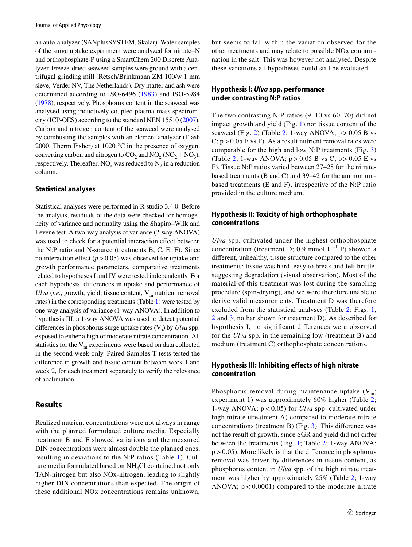an auto-analyzer (SANplusSYSTEM, Skalar). Water samples of the surge uptake experiment were analyzed for nitrate–N and orthophosphate-P using a SmartChem 200 Discrete Analyzer. Freeze-dried seaweed samples were ground with a centrifugal grinding mill (Retsch/Brinkmann ZM 100/w 1 mm sieve, Verder NV, The Netherlands). Dry matter and ash were determined according to ISO-6496 [\(1983\)](#page-13-23) and ISO-5984 [\(1978\)](#page-13-24), respectively. Phosphorus content in the seaweed was analysed using inductively coupled plasma-mass spectrometry (ICP-OES) according to the standard NEN 15510 [\(2007](#page-13-25)). Carbon and nitrogen content of the seaweed were analysed by combusting the samples with an element analyzer (Flash 2000, Therm Fisher) at 1020  $^{\circ}$ C in the presence of oxygen, converting carbon and nitrogen to  $CO_2$  and  $NO_x (NO_2 + NO_3)$ , respectively. Thereafter,  $NO_x$  was reduced to  $N_2$  in a reduction column.

#### **Statistical analyses**

Statistical analyses were performed in R studio 3.4.0. Before the analysis, residuals of the data were checked for homogeneity of variance and normality using the Shapiro–Wilk and Levene test. A two-way analysis of variance (2-way ANOVA) was used to check for a potential interaction effect between the N:P ratio and N-source (treatments B, C, E, F). Since no interaction effect  $(p>0.05)$  was observed for uptake and growth performance parameters, comparative treatments related to hypotheses I and IV were tested independently. For each hypothesis, diferences in uptake and performance of *Ulva* (*i.e.*, growth, yield, tissue content,  $V_m$  nutrient removal rates) in the corresponding treatments (Table [1](#page-2-0)) were tested by one-way analysis of variance (1-way ANOVA). In addition to hypothesis III*,* a 1-way ANOVA was used to detect potential differences in phosphorus surge uptake rates  $(V_s)$  by *Ulva* spp. exposed to either a high or moderate nitrate concentration. All statistics for the  $V_m$  experiments were based on data collected in the second week only. Paired-Samples T-tests tested the diference in growth and tissue content between week 1 and week 2, for each treatment separately to verify the relevance of acclimation.

### **Results**

Realized nutrient concentrations were not always in range with the planned formulated culture media. Especially treatment B and E showed variations and the measured DIN concentrations were almost double the planned ones, resulting in deviations to the N:P ratios (Table [1\)](#page-2-0). Culture media formulated based on  $NH<sub>4</sub>Cl$  contained not only TAN-nitrogen but also NOx-nitrogen, leading to slightly higher DIN concentrations than expected. The origin of these additional NOx concentrations remains unknown,

but seems to fall within the variation observed for the other treatments and may relate to possible NOx contamination in the salt. This was however not analysed. Despite these variations all hypotheses could still be evaluated.

### **Hypothesis I:** *Ulva* **spp. performance under contrasting N:P ratios**

The two contrasting N:P ratios (9–10 vs 60–70) did not impact growth and yield (Fig. [1\)](#page-5-0) nor tissue content of the seaweed (Fig. [2\)](#page-6-0) (Table [2](#page-7-0); 1-way ANOVA;  $p > 0.05$  B vs C;  $p > 0.05$  E vs F). As a result nutrient removal rates were comparable for the high and low N:P treatments (Fig. [3\)](#page-7-1) (Table [2](#page-7-0); 1-way ANOVA;  $p > 0.05$  B vs C;  $p > 0.05$  E vs F). Tissue N:P ratios varied between 27–28 for the nitratebased treatments (B and C) and 39–42 for the ammoniumbased treatments (E and F), irrespective of the N:P ratio provided in the culture medium.

# **Hypothesis II: Toxicity of high orthophosphate concentrations**

*Ulva* spp. cultivated under the highest orthophosphate concentration (treatment D; 0.9 mmol  $L^{-1}$  P) showed a diferent, unhealthy, tissue structure compared to the other treatments; tissue was hard, easy to break and felt brittle, suggesting degradation (visual observation). Most of the material of this treatment was lost during the sampling procedure (spin-drying), and we were therefore unable to derive valid measurements. Treatment D was therefore excluded from the statistical analyses (Table [2](#page-7-0); Figs. [1,](#page-5-0) [2](#page-6-0) and [3](#page-7-1); no bar shown for treatment D). As described for hypothesis I, no signifcant diferences were observed for the *Ulva* spp. in the remaining low (treatment B) and medium (treatment C) orthophosphate concentrations.

## **Hypothesis III: Inhibiting efects of high nitrate concentration**

Phosphorus removal during maintenance uptake  $(V_m;$ experiment 1) was approximately 60% higher (Table [2](#page-7-0); 1-way ANOVA; p < 0.05) for *Ulva* spp. cultivated under high nitrate (treatment A) compared to moderate nitrate concentrations (treatment B) (Fig. [3](#page-7-1)). This diference was not the result of growth, since SGR and yield did not difer between the treatments (Fig. [1](#page-5-0); Table [2](#page-7-0); 1-way ANOVA;  $p > 0.05$ ). More likely is that the difference in phosphorus removal was driven by diferences in tissue content, as phosphorus content in *Ulva* spp. of the high nitrate treatment was higher by approximately 25% (Table [2;](#page-7-0) 1-way ANOVA;  $p < 0.0001$ ) compared to the moderate nitrate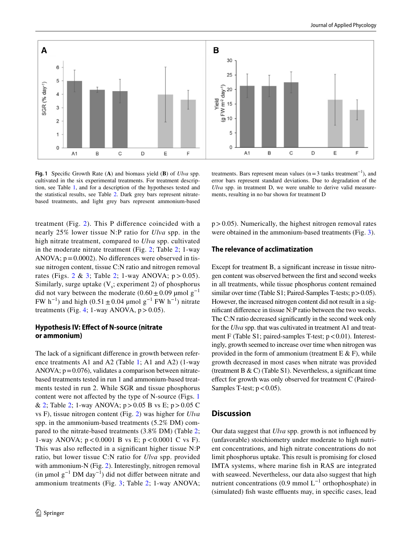

<span id="page-5-0"></span>**Fig. 1** Specifc Growth Rate (**A**) and biomass yield (**B**) of *Ulva* spp. cultivated in the six experimental treatments. For treatment description, see Table [1](#page-2-0), and for a description of the hypotheses tested and the statistical results, see Table [2.](#page-7-0) Dark grey bars represent nitratebased treatments, and light grey bars represent ammonium-based

treatments. Bars represent mean values ( $n=3$  tanks treatment<sup>-1</sup>), and error bars represent standard deviations. Due to degradation of the *Ulva* spp. in treatment D, we were unable to derive valid measurements, resulting in no bar shown for treatment D

treatment (Fig. [2\)](#page-6-0). This P diference coincided with a nearly 25% lower tissue N:P ratio for *Ulva* spp. in the high nitrate treatment, compared to *Ulva* spp. cultivated in the moderate nitrate treatment (Fig. [2](#page-6-0); Table [2;](#page-7-0) 1-way ANOVA;  $p = 0.0002$ ). No differences were observed in tissue nitrogen content, tissue C:N ratio and nitrogen removal rates (Figs. [2](#page-6-0) & [3](#page-7-1); Table [2;](#page-7-0) 1-way ANOVA;  $p > 0.05$ ). Similarly, surge uptake  $(V_s;$  experiment 2) of phosphorus did not vary between the moderate  $(0.60 \pm 0.09 \text{ \mu mol g}^{-1})$ FW h<sup>-1</sup>) and high (0.51 ± 0.04 µmol g<sup>-1</sup> FW h<sup>-1</sup>) nitrate treatments (Fig. [4;](#page-8-0) 1-way ANOVA,  $p > 0.05$ ).

### **Hypothesis IV: Efect of N‑source (nitrate or ammonium)**

The lack of a signifcant diference in growth between reference treatments A1 and A2 (Table [1](#page-2-0); A1 and A2) (1-way ANOVA;  $p=0.076$ ), validates a comparison between nitratebased treatments tested in run 1 and ammonium-based treatments tested in run 2. While SGR and tissue phosphorus content were not afected by the type of N-source (Figs. [1](#page-5-0) & [2;](#page-6-0) Table [2](#page-7-0); 1-way ANOVA;  $p > 0.05$  B vs E;  $p > 0.05$  C vs F), tissue nitrogen content (Fig. [2](#page-6-0)) was higher for *Ulva* spp. in the ammonium-based treatments (5.2% DM) compared to the nitrate-based treatments (3.8% DM) (Table [2](#page-7-0); 1-way ANOVA;  $p < 0.0001$  B vs E;  $p < 0.0001$  C vs F). This was also refected in a signifcant higher tissue N:P ratio, but lower tissue C:N ratio for *Ulva* spp. provided with ammonium-N (Fig. [2](#page-6-0)). Interestingly, nitrogen removal (in µmol  $g^{-1}$  DM day<sup>-1</sup>) did not differ between nitrate and ammonium treatments (Fig. [3](#page-7-1); Table [2](#page-7-0); 1-way ANOVA;  $p > 0.05$ ). Numerically, the highest nitrogen removal rates were obtained in the ammonium-based treatments (Fig. [3\)](#page-7-1).

### **The relevance of acclimatization**

Except for treatment B, a significant increase in tissue nitrogen content was observed between the frst and second weeks in all treatments, while tissue phosphorus content remained similar over time (Table S1; Paired-Samples T-tests;  $p > 0.05$ ). However, the increased nitrogen content did not result in a signifcant diference in tissue N:P ratio between the two weeks. The C:N ratio decreased signifcantly in the second week only for the *Ulva* spp. that was cultivated in treatment A1 and treatment F (Table S1; paired-samples T-test;  $p < 0.01$ ). Interestingly, growth seemed to increase over time when nitrogen was provided in the form of ammonium (treatment  $E \& F$ ), while growth decreased in most cases when nitrate was provided (treatment B & C) (Table S1). Nevertheless, a significant time efect for growth was only observed for treatment C (Paired-Samples T-test;  $p < 0.05$ ).

#### **Discussion**

Our data suggest that *Ulva* spp. growth is not infuenced by (unfavorable) stoichiometry under moderate to high nutrient concentrations, and high nitrate concentrations do not limit phosphorus uptake. This result is promising for closed IMTA systems, where marine fsh in RAS are integrated with seaweed. Nevertheless, our data also suggest that high nutrient concentrations (0.9 mmol  $L^{-1}$  orthophosphate) in (simulated) fish waste effluents may, in specific cases, lead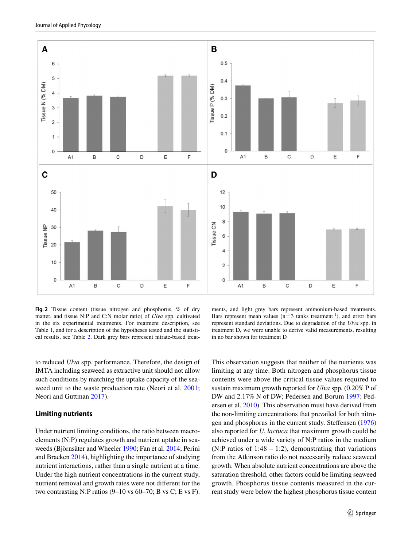

<span id="page-6-0"></span>**Fig. 2** Tissue content (tissue nitrogen and phosphorus, % of dry matter, and tissue N:P and C:N molar ratio) of *Ulva* spp. cultivated in the six experimental treatments. For treatment description, see Table [1,](#page-2-0) and for a description of the hypotheses tested and the statistical results, see Table [2.](#page-7-0) Dark grey bars represent nitrate-based treat-

ments, and light grey bars represent ammonium-based treatments. Bars represent mean values ( $n=3$  tanks treatment<sup>-1</sup>), and error bars represent standard deviations. Due to degradation of the *Ulva* spp. in treatment D, we were unable to derive valid measurements, resulting in no bar shown for treatment D

to reduced *Ulva* spp. performance. Therefore, the design of IMTA including seaweed as extractive unit should not allow such conditions by matching the uptake capacity of the seaweed unit to the waste production rate (Neori et al. [2001](#page-13-26); Neori and Guttman [2017\)](#page-13-27).

#### **Limiting nutrients**

Under nutrient limiting conditions, the ratio between macroelements (N:P) regulates growth and nutrient uptake in seaweeds (Björnsäter and Wheeler [1990](#page-12-7); Fan et al. [2014](#page-12-12); Perini and Bracken [2014\)](#page-13-16), highlighting the importance of studying nutrient interactions, rather than a single nutrient at a time. Under the high nutrient concentrations in the current study, nutrient removal and growth rates were not diferent for the two contrasting N:P ratios  $(9-10 \text{ vs } 60-70; \text{ B vs } C; E \text{ vs } F)$ . This observation suggests that neither of the nutrients was limiting at any time. Both nitrogen and phosphorus tissue contents were above the critical tissue values required to sustain maximum growth reported for *Ulva* spp*.* (0.20% P of DW and 2.17% N of DW; Pedersen and Borum [1997](#page-13-12); Pedersen et al. [2010\)](#page-13-13). This observation must have derived from the non-limiting concentrations that prevailed for both nitrogen and phosphorus in the current study. Stefensen ([1976\)](#page-14-9) also reported for *U. lactuca* that maximum growth could be achieved under a wide variety of N:P ratios in the medium (N:P ratios of 1:48 – 1:2), demonstrating that variations from the Atkinson ratio do not necessarily reduce seaweed growth. When absolute nutrient concentrations are above the saturation threshold, other factors could be limiting seaweed growth. Phosphorus tissue contents measured in the current study were below the highest phosphorus tissue content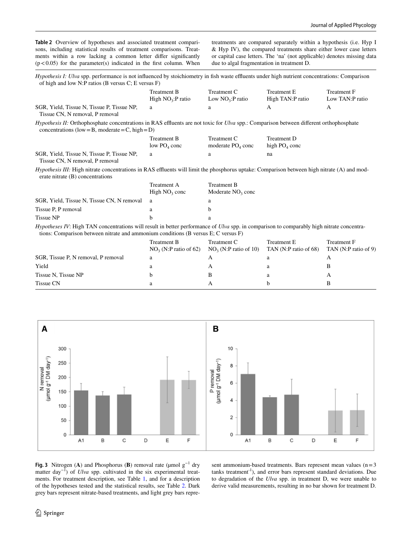<span id="page-7-0"></span>**Table 2** Overview of hypotheses and associated treatment comparisons, including statistical results of treatment comparisons. Treatments within a row lacking a common letter difer signifcantly  $(p<0.05)$  for the parameter(s) indicated in the first column. When treatments are compared separately within a hypothesis (i.e. Hyp I & Hyp IV), the compared treatments share either lower case letters or capital case letters. The 'na' (not applicable) denotes missing data due to algal fragmentation in treatment D.

| <i>Hypothesis I: Ulva spp.</i> performance is not influenced by stoichiometry in fish waste effluents under high nutrient concentrations: Comparison<br>of high and low N:P ratios (B versus $C$ ; E versus F) |                                   |                                  |                                 |                                |
|----------------------------------------------------------------------------------------------------------------------------------------------------------------------------------------------------------------|-----------------------------------|----------------------------------|---------------------------------|--------------------------------|
|                                                                                                                                                                                                                | Treatment B<br>High $NO3:P$ ratio | Treatment C<br>Low $NO3:P$ ratio | Treatment E<br>High TAN:P ratio | Treatment F<br>Low TAN:P ratio |
| SGR, Yield, Tissue N, Tissue P, Tissue NP,<br>Tissue CN, N removal, P removal                                                                                                                                  | a                                 | a                                |                                 |                                |

*Hypothesis II:* Orthophosphate concentrations in RAS effluents are not toxic for *Ulva* spp.: Comparison between different orthophosphate concentrations (low = B, moderate = C, high = D)

|                                | Treatment B              | Treatment C         | Treatment D     |
|--------------------------------|--------------------------|---------------------|-----------------|
|                                | low PO <sub>4</sub> conc | moderate $PO4$ conc | high $PO4$ conc |
| Tissue N, Tissue P, Tissue NP, |                          |                     | na              |

Tissue CN, N removal, P removal

SGR, Yield,

*Hypothesis III:* High nitrate concentrations in RAS effluents will limit the phosphorus uptake: Comparison between high nitrate (A) and moderate nitrate (B) concentrations

|                                            | Treatment A     | Treatment B         |
|--------------------------------------------|-----------------|---------------------|
|                                            | High $NO3$ conc | Moderate $NO3$ conc |
| SGR, Yield, Tissue N, Tissue CN, N removal | -a              |                     |
| Tissue P, P removal                        |                 |                     |
| Tissue NP                                  |                 |                     |

*Hypotheses IV*: High TAN concentrations will result in better performance of *Ulva* spp. in comparison to comparably high nitrate concentrations: Comparison between nitrate and ammonium conditions (B versus E; C versus F)

|                                     | Treatment B             | Treatment C                                   | <b>Treatment E</b> | <b>Treatment F</b>   |
|-------------------------------------|-------------------------|-----------------------------------------------|--------------------|----------------------|
|                                     | $NO3$ (N:P ratio of 62) | $NO3$ (N:P ratio of 10) TAN (N:P ratio of 68) |                    | TAN (N:P ratio of 9) |
| SGR, Tissue P, N removal, P removal | а                       | A                                             |                    |                      |
| Yield                               | a                       | А                                             |                    |                      |
| Tissue N, Tissue NP                 |                         |                                               |                    |                      |
| Tissue CN                           |                         | A                                             |                    |                      |



<span id="page-7-1"></span>**Fig. 3** Nitrogen (**A**) and Phosphorus (**B**) removal rate ( $\mu$ mol  $g^{-1}$  dry matter day−1) of *Ulva* spp. cultivated in the six experimental treatments. For treatment description, see Table [1,](#page-2-0) and for a description of the hypotheses tested and the statistical results, see Table [2](#page-7-0). Dark grey bars represent nitrate-based treatments, and light grey bars represent ammonium-based treatments. Bars represent mean values  $(n=3)$ tanks treatment-1), and error bars represent standard deviations. Due to degradation of the *Ulva* spp. in treatment D, we were unable to derive valid measurements, resulting in no bar shown for treatment D.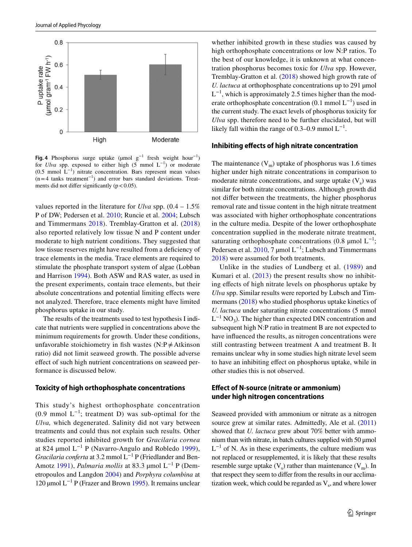

<span id="page-8-0"></span>**Fig. 4** Phosphorus surge uptake (µmol g−1 fresh weight hour−1) for *Ulva* spp. exposed to either high (5 mmol L−1) or moderate (0.5 mmol  $L^{-1}$ ) nitrate concentration. Bars represent mean values  $(n=4$  tanks treatment<sup>-1</sup>) and error bars standard deviations. Treatments did not differ significantly ( $p < 0.05$ ).

values reported in the literature for *Ulva* spp. (0.4 – 1.5% P of DW; Pedersen et al. [2010](#page-13-13); Runcie et al. [2004](#page-13-28); Lubsch and Timmermans [2018\)](#page-13-3). Tremblay-Gratton et al. ([2018\)](#page-14-6) also reported relatively low tissue N and P content under moderate to high nutrient conditions. They suggested that low tissue reserves might have resulted from a deficiency of trace elements in the media. Trace elements are required to stimulate the phosphate transport system of algae (Lobban and Harrison [1994\)](#page-13-29). Both ASW and RAS water, as used in the present experiments, contain trace elements, but their absolute concentrations and potential limiting efects were not analyzed. Therefore, trace elements might have limited phosphorus uptake in our study.

The results of the treatments used to test hypothesis I indicate that nutrients were supplied in concentrations above the minimum requirements for growth. Under these conditions, unfavorable stoichiometry in fish wastes (N:P $\neq$ Atkinson ratio) did not limit seaweed growth. The possible adverse effect of such high nutrient concentrations on seaweed performance is discussed below.

#### **Toxicity of high orthophosphate concentrations**

This study's highest orthophosphate concentration  $(0.9 \text{ mmol L}^{-1})$ ; treatment D) was sub-optimal for the *Ulva,* which degenerated. Salinity did not vary between treatments and could thus not explain such results. Other studies reported inhibited growth for *Gracilaria cornea* at 824 µmol  $L^{-1}$  P (Navarro-Angulo and Robledo [1999](#page-13-14)), *Gracilaria conferta* at 3.2 mmol L<sup>-1</sup> P (Friedlander and Ben-Amotz [1991](#page-12-8)), *Palmaria mollis* at 83.3 µmol L−1 P (Demetropoulos and Langdon [2004](#page-12-10)) and *Porphyra columbina* at 120 µmol L−1 P (Frazer and Brown [1995](#page-12-13)). It remains unclear

whether inhibited growth in these studies was caused by high orthophosphate concentrations or low N:P ratios. To the best of our knowledge, it is unknown at what concentration phosphorus becomes toxic for *Ulva* spp. However, Tremblay-Gratton et al. [\(2018](#page-14-6)) showed high growth rate of *U. lactuca* at orthophosphate concentrations up to 291 µmol  $L^{-1}$ , which is approximately 2.5 times higher than the moderate orthophosphate concentration  $(0.1 \text{ mmol L}^{-1})$  used in the current study. The exact levels of phosphorus toxicity for *Ulva* spp. therefore need to be further elucidated, but will likely fall within the range of 0.3–0.9 mmol  $L^{-1}$ .

#### **Inhibiting efects of high nitrate concentration**

The maintenance  $(V_m)$  uptake of phosphorus was 1.6 times higher under high nitrate concentrations in comparison to moderate nitrate concentrations, and surge uptake  $(V_s)$  was similar for both nitrate concentrations. Although growth did not difer between the treatments, the higher phosphorus removal rate and tissue content in the high nitrate treatment was associated with higher orthophosphate concentrations in the culture media. Despite of the lower orthophosphate concentration supplied in the moderate nitrate treatment, saturating orthophosphate concentrations (0.8 µmol  $L^{-1}$ ; Pedersen et al.  $2010$ , 7 µmol L<sup>-1</sup>; Lubsch and Timmermans [2018](#page-13-3)) were assumed for both treatments.

Unlike in the studies of Lundberg et al. ([1989\)](#page-13-15) and Kumari et al. [\(2013](#page-13-2)) the present results show no inhibiting efects of high nitrate levels on phosphorus uptake by *Ulva* spp. Similar results were reported by Lubsch and Timmermans ([2018\)](#page-13-3) who studied phosphorus uptake kinetics of *U. lactuca* under saturating nitrate concentrations (5 mmol  $L^{-1}$  NO<sub>3</sub>). The higher than expected DIN concentration and subsequent high N:P ratio in treatment B are not expected to have infuenced the results, as nitrogen concentrations were still contrasting between treatment A and treatment B. It remains unclear why in some studies high nitrate level seem to have an inhibiting efect on phosphorus uptake, while in other studies this is not observed.

### **Efect of N‑source (nitrate or ammonium) under high nitrogen concentrations**

Seaweed provided with ammonium or nitrate as a nitrogen source grew at similar rates. Admittedly, Ale et al. ([2011\)](#page-12-9) showed that *U. lactuca* grew about 70% better with ammonium than with nitrate, in batch cultures supplied with 50 μmol  $L^{-1}$  of N. As in these experiments, the culture medium was not replaced or resupplemented, it is likely that these results resemble surge uptake  $(V_s)$  rather than maintenance  $(V_m)$ . In that respect they seem to difer from the results in our acclimatization week, which could be regarded as  $V_s$ , and where lower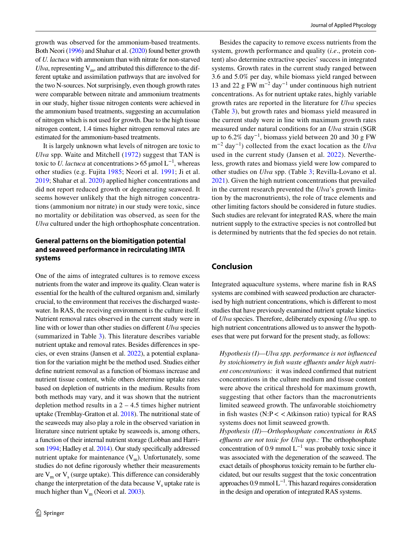growth was observed for the ammonium-based treatments. Both Neori ([1996\)](#page-13-8) and Shahar et al. [\(2020](#page-14-7)) found better growth of *U. lactuca* with ammonium than with nitrate for non-starved *Ulva*, representing  $V_m$ , and attributed this difference to the different uptake and assimilation pathways that are involved for the two N-sources. Not surprisingly, even though growth rates were comparable between nitrate and ammonium treatments in our study, higher tissue nitrogen contents were achieved in the ammonium based treatments, suggesting an accumulation of nitrogen which is not used for growth. Due to the high tissue nitrogen content, 1.4 times higher nitrogen removal rates are estimated for the ammonium-based treatments.

It is largely unknown what levels of nitrogen are toxic to *Ulva* spp. Waite and Mitchell ([1972](#page-14-10)) suggest that TAN is toxic to *U. lactuca* at concentrations > 65 µmol  $L^{-1}$ , whereas other studies (e.g. Fujita [1985](#page-12-14); Neori et al. [1991](#page-13-30); Ji et al. [2019](#page-13-31); Shahar et al. [2020](#page-14-7)) applied higher concentrations and did not report reduced growth or degenerating seaweed. It seems however unlikely that the high nitrogen concentrations (ammonium nor nitrate) in our study were toxic, since no mortality or debilitation was observed, as seen for the *Ulva* cultured under the high orthophosphate concentration.

# **General patterns on the biomitigation potential and seaweed performance in recirculating IMTA systems**

One of the aims of integrated cultures is to remove excess nutrients from the water and improve its quality. Clean water is essential for the health of the cultured organism and, similarly crucial, to the environment that receives the discharged wastewater. In RAS, the receiving environment is the culture itself. Nutrient removal rates observed in the current study were in line with or lower than other studies on diferent *Ulva* species (summarized in Table [3\)](#page-10-0). This literature describes variable nutrient uptake and removal rates. Besides diferences in species, or even strains (Jansen et al. [2022\)](#page-13-32), a potential explanation for the variation might be the method used. Studies either defne nutrient removal as a function of biomass increase and nutrient tissue content, while others determine uptake rates based on depletion of nutrients in the medium. Results from both methods may vary, and it was shown that the nutrient depletion method results in a  $2 - 4.5$  times higher nutrient uptake (Tremblay-Gratton et al. [2018\)](#page-14-6). The nutritional state of the seaweeds may also play a role in the observed variation in literature since nutrient uptake by seaweeds is, among others, a function of their internal nutrient storage (Lobban and Harrison [1994;](#page-13-29) Hadley et al. [2014\)](#page-13-11). Our study specifcally addressed nutrient uptake for maintenance  $(V_m)$ . Unfortunately, some studies do not defne rigorously whether their measurements are  $V_m$  or  $V_s$  (surge uptake). This difference can considerably change the interpretation of the data because  $V_s$  uptake rate is much higher than  $V_m$  (Neori et al. [2003](#page-13-5)).

Besides the capacity to remove excess nutrients from the system, growth performance and quality (*i.e*., protein content) also determine extractive species' success in integrated systems. Growth rates in the current study ranged between 3.6 and 5.0% per day, while biomass yield ranged between 13 and 22 g FW m<sup>-2</sup> day<sup>-1</sup> under continuous high nutrient concentrations. As for nutrient uptake rates, highly variable growth rates are reported in the literature for *Ulva* species (Table [3](#page-10-0)), but growth rates and biomass yield measured in the current study were in line with maximum growth rates measured under natural conditions for an *Ulva* strain (SGR up to  $6.2\%$  day<sup>-1</sup>, biomass yield between 20 and 30 g FW m−2 day−1) collected from the exact location as the *Ulva* used in the current study (Jansen et al. [2022\)](#page-13-32). Nevertheless, growth rates and biomass yield were low compared to other studies on *Ulva* spp. (Table [3;](#page-10-0) Revilla-Lovano et al. [2021](#page-13-20)). Given the high nutrient concentrations that prevailed in the current research prevented the *Ulva*'s growth limitation by the macronutrients), the role of trace elements and other limiting factors should be considered in future studies. Such studies are relevant for integrated RAS, where the main nutrient supply to the extractive species is not controlled but is determined by nutrients that the fed species do not retain.

### **Conclusion**

Integrated aquaculture systems, where marine fsh in RAS systems are combined with seaweed production are characterised by high nutrient concentrations, which is diferent to most studies that have previously examined nutrient uptake kinetics of *Ulva* species. Therefore, deliberately exposing *Ulva* spp. to high nutrient concentrations allowed us to answer the hypotheses that were put forward for the present study, as follows:

*Hypothesis (I)—Ulva spp. performance is not infuenced*  by stoichiometry in fish waste effluents under high nutri*ent concentrations:* it was indeed confrmed that nutrient concentrations in the culture medium and tissue content were above the critical threshold for maximum growth, suggesting that other factors than the macronutrients limited seaweed growth. The unfavorable stoichiometry in fish wastes (N:P < < Atkinson ratio) typical for RAS systems does not limit seaweed growth.

*Hypothesis (II)—Orthophosphate concentrations in RAS efuents are not toxic for Ulva spp.:* The orthophosphate concentration of 0.9 mmol  $L^{-1}$  was probably toxic since it was associated with the degeneration of the seaweed. The exact details of phosphorus toxicity remain to be further elucidated, but our results suggest that the toxic concentration approaches  $0.9$  mmol  $L^{-1}$ . This hazard requires consideration in the design and operation of integrated RAS systems.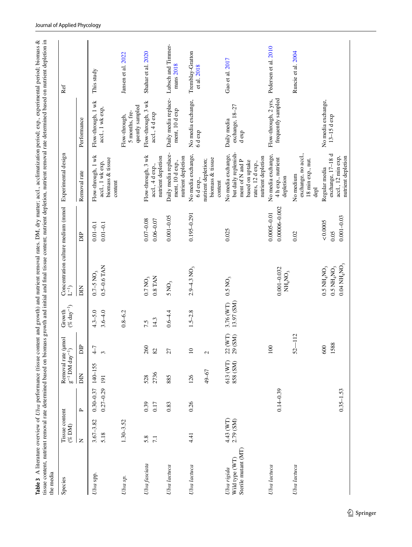<span id="page-10-0"></span>

| tissue content, nutrient removal rate determined based on biomass growth and initial and final tissue content; nutrient depletion, nutrient removal rate determined based on nutrient depletion in<br>the media |                             |                                |                                                       |                                    |                            |                                                                                                                 |                                      |                                                                                                                             |                                                    |                                 |
|-----------------------------------------------------------------------------------------------------------------------------------------------------------------------------------------------------------------|-----------------------------|--------------------------------|-------------------------------------------------------|------------------------------------|----------------------------|-----------------------------------------------------------------------------------------------------------------|--------------------------------------|-----------------------------------------------------------------------------------------------------------------------------|----------------------------------------------------|---------------------------------|
| Species                                                                                                                                                                                                         | Tissue content<br>$(\%$ DM) |                                | Removal rate (µmol<br>$g^{-1}$ DM day <sup>-1</sup> ) |                                    | $(% day-1)$<br>Growth      | Concentration culture medium (mmol<br>$\tilde{\mathbf{L}}^{-1}$                                                 |                                      | Experimental design                                                                                                         |                                                    | Ref                             |
|                                                                                                                                                                                                                 | $\overline{z}$              | $\sim$                         | БN                                                    | $\sim$<br>ă                        |                            | DIN                                                                                                             | $\mathbb{B}$                         | Removal rate                                                                                                                | Performance                                        |                                 |
| Ulva spp.                                                                                                                                                                                                       | $3.67 - 3.82$<br>5.18       | $0.27 - 0.29$<br>$0.30 - 0.37$ | 140-155<br>191                                        | $\frac{1}{\sqrt{2}}$<br>$\epsilon$ | $4.3 - 5.0$<br>$3.6 - 4.0$ | $0.5 - 0.6$ TAN<br>$0.7 - 5 NO3$                                                                                | $0.01 - 0.1$<br>$0.01 - 0.1$         | Flow-through, 1 wk<br>biomass & tissue<br>accl., 1 wk exp,<br>content                                                       | Flow-through, 1 wk<br>accl., 1 wk exp,             | This study                      |
| Uva sp.                                                                                                                                                                                                         | $1.30 - 3.52$               |                                |                                                       |                                    | $0.8 - 6.2$                |                                                                                                                 |                                      |                                                                                                                             | quently sampled<br>5 months, fre-<br>Flow-through, | Jansen et al. 2022              |
| Ulva fasciata                                                                                                                                                                                                   | 5.8<br>$\overline{71}$      | 0.39<br>0.17                   | 2736<br>528                                           | 260<br>82                          | 14.3<br>7.5                | 0.8 TAN<br>$0.7\,\mathrm{NO}_3$                                                                                 | $0.07 - 0.08$<br>$0.06 - 0.07$       | Flow-through, 3 wk<br>nutrient depletion<br>accl., 4 d exp.,                                                                | Flow-through, 3 wk<br>accl., 4 d exp               | Shahar et al. 2020              |
| Ulva lactuca                                                                                                                                                                                                    |                             | 0.83                           | 885                                                   | 27                                 | $0.6 - 4.4$                | $5\,\mathrm{NO}_3$                                                                                              | $0.001 - 0.05$                       | Daily media replace-<br>nutrient depletion<br>ment, 10 d exp.,                                                              | Daily media replace-<br>ment, 10 d exp             | Lubsch and Timmer-<br>mans 2018 |
| Ulva lactuca                                                                                                                                                                                                    | 4.41                        | 0.26                           | 49-67<br>126                                          | $\overline{10}$<br>$\mathcal{L}$   | $1.5 - 2.8$                | $2.9 - 4.3$ NO <sub>3</sub>                                                                                     | $0.195 - 0.291$                      | No media exchange,<br>biomass & tissue<br>nutrient depletion;<br>6 d exp.,<br>content                                       | No media exchange,<br>6 d exp                      | Tremblay-Gratton<br>et al. 2018 |
| Sterile mutant (MT)<br>Wild type (WT)<br>Ulva rigida                                                                                                                                                            | 4.43 (WT)<br>2.79 (SM)      |                                | 613 (WT)<br>858 (SM)                                  | (WT)<br>(SM)<br>22                 | 13.97 (SM)<br>3.76 (WT)    | $0.5 N O_3$                                                                                                     | 0.025                                | but daily replenish-<br>No media exchange,<br>nutrient depletion<br>ment of N and P<br>based on uptake<br>rates, 12 d exp., | exchange, 18-27<br>Daily media<br>d exp            | Gao et al. 2017                 |
| Ulva lactuca                                                                                                                                                                                                    |                             | $0.14 - 0.39$                  |                                                       | 100                                |                            | $0.001 - 0.032$<br>$NH_4NO_3$                                                                                   | $0.00006 - 0.002$<br>$0.0005 - 0.01$ | No media exchange,<br>4 h exp., nutrient<br>depletion                                                                       | frequently sampled<br>Flow-through, 2 yrs,         | Pedersen et al. 2010            |
| Ulva lactuca                                                                                                                                                                                                    |                             |                                |                                                       | $-112$<br>$52 -$                   |                            |                                                                                                                 | 0.02                                 | exchange, no accl.,<br>18 min exp., nut.<br>No medium<br>depl                                                               |                                                    | Runcie et al. 2004              |
|                                                                                                                                                                                                                 |                             | $0.35 - 1.53$                  |                                                       | 1588<br>600                        |                            | $0.04$ NH <sub>4</sub> NO <sub>3</sub><br>$0.5\ \mathrm{NH_{4}NO_{3}}$<br>$0.5$ NH <sub>4</sub> NO <sub>3</sub> | $0.001 - 0.03$<br>&0.0005<br>0.05    | exchange, 17-18 d<br>nutrient depletion<br>accl., 12 min exp,<br>Regular media                                              | No media exchange,<br>$13-15d$ exp                 |                                 |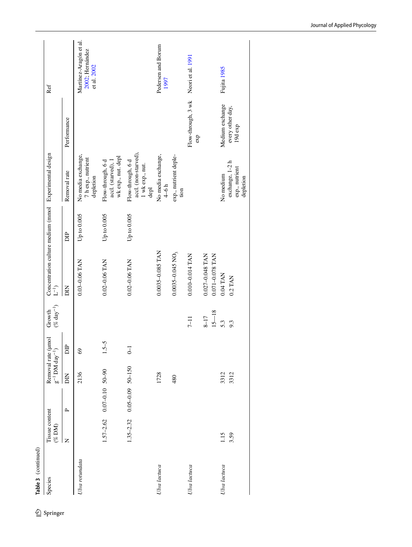| Species        | Tissue content<br>$($ % DM) |                                   | $g^{-1}$ DM day <sup>-1</sup> )<br>Removal rate | lomu                    | $(\%$ day <sup>-1</sup> )<br>Growth | $\mathbf{L}^{-1})$                 |               | Concentration culture medium (mmol Experimental design                   |                             | Ref                                                      |
|----------------|-----------------------------|-----------------------------------|-------------------------------------------------|-------------------------|-------------------------------------|------------------------------------|---------------|--------------------------------------------------------------------------|-----------------------------|----------------------------------------------------------|
|                | Z                           | $\sim$                            | ЫN                                              | DIP                     |                                     | $\overline{B}$                     | 旨             | Removal rate                                                             | Performance                 |                                                          |
| Ulva rotundata |                             |                                   | 2136                                            | $\circledcirc$          |                                     | $0.03 - 0.06$ TAN                  | Up to 0.005   | No media exchange,<br>7 h exp., nutrient<br>depletion                    |                             | Martínez-Aragón et al.<br>2002; Hernández<br>et al. 2002 |
|                |                             | $1.57 - 2.62$ 0.07 - 0.10 50 - 90 |                                                 | $1.5 - 5$               |                                     | $0.02 - 0.06$ TAN                  | Up to $0.005$ | wk exp., nut. depl<br>Flow-through, 6 d<br>accl. (starved), 1            |                             |                                                          |
|                | $1.35 - 2.32$               | $0.05 - 0.09$ 50-150              |                                                 | $\overline{\mathsf{d}}$ |                                     | $0.02 - 0.06$ TAN                  | Up to 0.005   | accl. (non-starved),<br>Flow-through, 6 d<br>$1$ wk $\exp.$ nut.<br>depl |                             |                                                          |
| Uva lactuca    |                             |                                   | 1728                                            |                         |                                     | 0.0035-0.085 TAN                   |               | No media exchange,<br>$4-6h$                                             |                             | Pedersen and Borum<br>1997                               |
|                |                             |                                   | 480                                             |                         |                                     | $0.0035 - 0.045$ NO <sub>3</sub>   |               | exp., nutrient deple-<br>tion                                            |                             |                                                          |
| Ulva lactuca   |                             |                                   |                                                 |                         | $7 - 11$                            | 0.010-0.014 TAN                    |               |                                                                          | Flow-through, 3 wk<br>exp   | Neori et al. 1991                                        |
|                |                             |                                   |                                                 |                         | $15 - 18$<br>$8 - 17$               | 0.027-0.048 TAN<br>0.071-0.078 TAN |               |                                                                          |                             |                                                          |
| Ulva lactuca   | 1.15                        |                                   | 3312                                            |                         | 5.3                                 | 0.04 TAN                           |               | No medium                                                                | Medium exchange             | Fujita 1985                                              |
|                | 3.59                        |                                   | 3312                                            |                         | 9.3                                 | 0.2 TAN                            |               | exchange, 1-2 h<br>exp., nutrient<br>depletion                           | every other day,<br>19d exp |                                                          |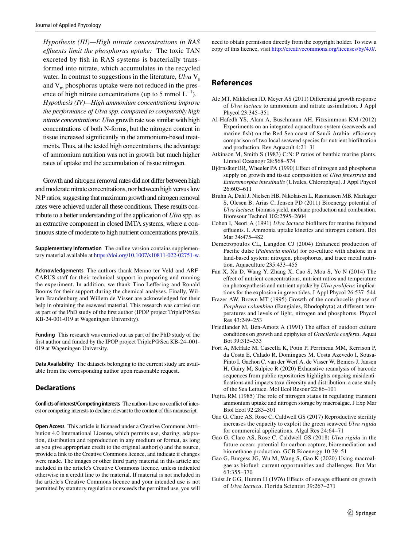*Hypothesis (III)—High nitrate concentrations in RAS efuents limit the phosphorus uptake:* The toxic TAN excreted by fsh in RAS systems is bacterially transformed into nitrate, which accumulates in the recycled water. In contrast to suggestions in the literature,  $U$ lva  $V_s$ and  $V_m$  phosphorus uptake were not reduced in the presence of high nitrate concentrations (up to 5 mmol  $L^{-1}$ ). *Hypothesis (IV)—High ammonium concentrations improve the performance of Ulva spp. compared to comparably high nitrate concentrations: Ulva* growth rate was similar with high concentrations of both N-forms, but the nitrogen content in tissue increased signifcantly in the ammonium-based treatments. Thus, at the tested high concentrations, the advantage of ammonium nutrition was not in growth but much higher rates of uptake and the accumulation of tissue nitrogen.

Growth and nitrogen removal rates did not difer between high and moderate nitrate concentrations, nor between high versus low N:P ratios, suggesting that maximum growth and nitrogen removal rates were achieved under all these conditions. These results contribute to a better understanding of the application of *Ulva* spp. as an extractive component in closed IMTA systems, where a continuous state of moderate to high nutrient concentrations prevails.

**Supplementary Information** The online version contains supplementary material available at<https://doi.org/10.1007/s10811-022-02751-w>.

**Acknowledgements** The authors thank Menno ter Veld and ARF-CARUS staff for their technical support in preparing and running the experiment. In addition, we thank Tino Leffering and Ronald Booms for their support during the chemical analyses. Finally, Willem Brandenburg and Willem de Visser are acknowledged for their help in obtaining the seaweed material. This research was carried out as part of the PhD study of the frst author (IPOP project TripleP@Sea KB-24-001-019 at Wageningen University).

**Funding** This research was carried out as part of the PhD study of the frst author and funded by the IPOP project TripleP@Sea KB-24–001- 019 at Wageningen University.

**Data Availability** The datasets belonging to the current study are available from the corresponding author upon reasonable request.

#### **Declarations**

**Conflicts of interest/Competing interests** The authors have no confict of interest or competing interests to declare relevant to the content of this manuscript.

**Open Access** This article is licensed under a Creative Commons Attribution 4.0 International License, which permits use, sharing, adaptation, distribution and reproduction in any medium or format, as long as you give appropriate credit to the original author(s) and the source, provide a link to the Creative Commons licence, and indicate if changes were made. The images or other third party material in this article are included in the article's Creative Commons licence, unless indicated otherwise in a credit line to the material. If material is not included in the article's Creative Commons licence and your intended use is not permitted by statutory regulation or exceeds the permitted use, you will need to obtain permission directly from the copyright holder. To view a copy of this licence, visit<http://creativecommons.org/licenses/by/4.0/>.

### **References**

- <span id="page-12-9"></span>Ale MT, Mikkelsen JD, Meyer AS (2011) Diferential growth response of *Ulva lactuca* to ammonium and nitrate assimilation. J Appl Phycol 23:345–351
- <span id="page-12-5"></span>Al-Hafedh YS, Alam A, Buschmann AH, Fitzsimmons KM (2012) Experiments on an integrated aquaculture system (seaweeds and marine fish) on the Red Sea coast of Saudi Arabia: efficiency comparison of two local seaweed species for nutrient biofltration and production. Rev Aquacult 4:21–31
- <span id="page-12-6"></span>Atkinson M, Smith S (1983) C:N: P ratios of benthic marine plants. Limnol Oceanogr 28:568–574
- <span id="page-12-7"></span>Björnsäter BR, Wheeler PA (1990) Effect of nitrogen and phosphorus supply on growth and tissue composition of *Ulva fenestrata* and *Enteromorpha intestinalis* (Ulvales, Chlorophyta). J Appl Phycol 26:603–611
- <span id="page-12-0"></span>Bruhn A, Dahl J, Nielsen HB, Nikolaisen L, Rasmussen MB, Markager S, Olesen B, Arias C, Jensen PD (2011) Bioenergy potential of *Ulva lactuca*: biomass yield, methane production and combustion. Bioresour Technol 102:2595–2604
- <span id="page-12-4"></span>Cohen I, Neori A (1991) *Ulva lactuca* bioflters for marine fshpond effluents. I. Ammonia uptake kinetics and nitrogen content. Bot Mar 34:475–482
- <span id="page-12-10"></span>Demetropoulos CL, Langdon CJ (2004) Enhanced production of Pacifc dulse (*Palmaria mollis*) for co-culture with abalone in a land-based system: nitrogen, phosphorus, and trace metal nutrition. Aquaculture 235:433–455
- <span id="page-12-12"></span>Fan X, Xu D, Wang Y, Zhang X, Cao S, Mou S, Ye N (2014) The efect of nutrient concentrations, nutrient ratios and temperature on photosynthesis and nutrient uptake by *Ulva prolifera*: implications for the explosion in green tides. J Appl Phycol 26:537–544
- <span id="page-12-13"></span>Frazer AW, Brown MT (1995) Growth of the conchocelis phase of *Porphyra columbina* (Bangiales, Rhodophyta) at diferent temperatures and levels of light, nitrogen and phosphorus. Phycol Res 43:249–253
- <span id="page-12-8"></span>Friedlander M, Ben-Amotz A (1991) The effect of outdoor culture conditions on growth and epiphytes of *Gracilaria conferta*. Aquat Bot 39:315–333
- <span id="page-12-11"></span>Fort A, McHale M, Cascella K, Potin P, Perrineau MM, Kerrison P, da Costa E, Calado R, Domingues M, Costa Azevedo I, Sousa-Pinto I, Gachon C, van der Werf A, de Visser W, Beniers J, Jansen H, Guiry M, Sulpice R (2020) Exhaustive reanalysis of barcode sequences from public repositories highlights ongoing misidentifcations and impacts taxa diversity and distribution: a case study of the Sea Lettuce. Mol Ecol Resour 22:86–101
- <span id="page-12-14"></span>Fujita RM (1985) The role of nitrogen status in regulating transient ammonium uptake and nitrogen storage by macroalgae. J Exp Mar Biol Ecol 92:283–301
- <span id="page-12-15"></span>Gao G, Clare AS, Rose C, Caldwell GS (2017) Reproductive sterility increases the capacity to exploit the green seaweed *Ulva rigida* for commercial applications. Algal Res 24:64–71
- <span id="page-12-1"></span>Gao G, Clare AS, Rose C, Caldwell GS (2018) *Ulva rigida* in the future ocean: potential for carbon capture, bioremediation and biomethane production. GCB Bioenergy 10:39–51
- <span id="page-12-2"></span>Gao G, Burgess JG, Wu M, Wang S, Gao K (2020) Using macroalgae as biofuel: current opportunities and challenges. Bot Mar 63:355–370
- <span id="page-12-3"></span>Guist Jr GG, Humm H (1976) Effects of sewage effluent on growth of *Ulva lactuca*. Florida Scientist 39:267–271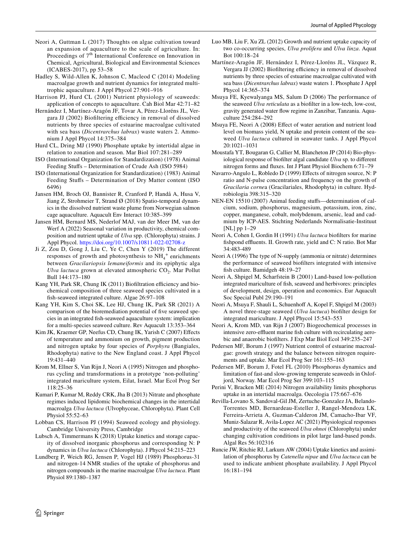- <span id="page-13-27"></span>Neori A, Guttman L (2017) Thoughts on algae cultivation toward an expansion of aquaculture to the scale of agriculture. In: Proceedings of 7<sup>th</sup> International Conference on Innovation in Chemical, Agricultural, Biological and Environmental Sciences (ICABES-2017), pp 53–58
- <span id="page-13-11"></span>Hadley S, Wild-Allen K, Johnson C, Macleod C (2014) Modeling macroalgae growth and nutrient dynamics for integrated multitrophic aquaculture. J Appl Phycol 27:901–916
- <span id="page-13-17"></span>Harrison PJ, Hurd CL (2001) Nutrient physiology of seaweeds: application of concepts to aquaculture. Cah Biol Mar 42:71–82
- <span id="page-13-34"></span>Hernández I, Martínez-Aragón JF, Tovar A, Pérez-Lloréns JL, Vergara JJ (2002) Biofiltering efficiency in removal of dissolved nutrients by three species of estuarine macroalgae cultivated with sea bass (*Dicentrarchus labrax*) waste waters 2. Ammonium J Appl Phycol 14:375–384
- <span id="page-13-22"></span>Hurd CL, Dring MJ (1990) Phosphate uptake by intertidal algae in relation to zonation and season. Mar Biol 107:281–289
- <span id="page-13-24"></span>ISO (International Organization for Standardization) (1978) Animal Feeding Stufs – Determination of Crude Ash (ISO 5984)
- <span id="page-13-23"></span>ISO (International Organization for Standardization) (1983) Animal Feeding Stufs – Determination of Dry Matter content (ISO 6496)
- <span id="page-13-9"></span>Jansen HM, Broch OJ, Bannister R, Cranford P, Handå A, Husa V, Jiang Z, Strohmeier T, Strand Ø (2018) Spatio-temporal dynamics in the dissolved nutrient waste plume from Norwegian salmon cage aquaculture. Aquacult Env Interact 10:385–399
- <span id="page-13-32"></span>Jansen HM, Bernard MS, Nederlof MAJ, van der Meer IM, van der Werf A (2022) Seasonal variation in productivity, chemical composition and nutrient uptake of *Ulva* spp. (Chlorophyta) strains. J Appl Phycol.<https://doi.org/10.1007/s10811-022-02708-z>
- <span id="page-13-31"></span>Ji Z, Zou D, Gong J, Liu C, Ye C, Chen Y (2019) The different responses of growth and photosynthesis to  $NH_4^+$  enrichments between *Gracilariopsis lemaneiformis* and its epiphytic alga *Ulva lactuca* grown at elevated atmospheric CO<sub>2</sub>. Mar Pollut Bull 144:173–180
- <span id="page-13-0"></span>Kang YH, Park SR, Chung IK (2011) Biofiltration efficiency and biochemical composition of three seaweed species cultivated in a fsh-seaweed integrated culture. Algae 26:97–108
- <span id="page-13-10"></span>Kang YH, Kim S, Choi SK, Lee HJ, Chung IK, Park SR (2021) A comparison of the bioremediation potential of fve seaweed species in an integrated fsh-seaweed aquaculture system: implication for a multi-species seaweed culture. Rev Aquacult 13:353–364
- <span id="page-13-21"></span>Kim JK, Kraemer GP, Neefus CD, Chung IK, Yarish C (2007) Efects of temperature and ammonium on growth, pigment production and nitrogen uptake by four species of *Porphyra* (Bangiales, Rhodophyta) native to the New England coast. J Appl Phycol 19:431–440
- <span id="page-13-4"></span>Krom M, Ellner S, Van Rijn J, Neori A (1995) Nitrogen and phosphorus cycling and transformations in a prototype 'non-polluting' integrated mariculture system, Eilat, Israel. Mar Ecol Prog Ser 118:25–36
- <span id="page-13-2"></span>Kumari P, Kumar M, Reddy CRK, Jha B (2013) Nitrate and phosphate regimes induced lipidomic biochemical changes in the intertidal macroalga *Ulva lactuca* (Ulvophyceae, Chlorophyta). Plant Cell Physiol 55:52–63
- <span id="page-13-29"></span>Lobban CS, Harrison PJ (1994) Seaweed ecology and physiology. Cambridge University Press, Cambridge
- <span id="page-13-3"></span>Lubsch A, Timmermans K (2018) Uptake kinetics and storage capacity of dissolved inorganic phosphorus and corresponding N: P dynamics in *Ulva lactuca* (Chlorophyta). J Phycol 54:215–223
- <span id="page-13-15"></span>Lundberg P, Weich RG, Jensen P, Vogel HJ (1989) Phosphorus-31 and nitrogen-14 NMR studies of the uptake of phosphorus and nitrogen compounds in the marine macroalgae *Ulva lactuca*. Plant Physiol 89:1380–1387
- <span id="page-13-1"></span>Luo MB, Liu F, Xu ZL (2012) Growth and nutrient uptake capacity of two co-occurring species, *Ulva prolifera* and *Ulva linza*. Aquat Bot 100:18–24
- <span id="page-13-33"></span>Martínez-Aragón JF, Hernández I, Pérez-Lloréns JL, Vázquez R, Vergara JJ (2002) Biofiltering efficiency in removal of dissolved nutrients by three species of estuarine macroalgae cultivated with sea bass (*Dicentrarchus labrax*) waste waters 1. Phosphate J Appl Phycol 14:365–374
- <span id="page-13-6"></span>Msuya FE, Kyewalyanga MS, Salum D (2006) The performance of the seaweed *Ulva reticulata* as a bioflter in a low-tech, low-cost, gravity generated water fow regime in Zanzibar, Tanzania. Aquaculture 254:284–292
- <span id="page-13-19"></span>Msuya FE, Neori A (2008) Efect of water aeration and nutrient load level on biomass yield, N uptake and protein content of the seaweed *Ulva lactuca* cultured in seawater tanks. J Appl Phycol 20:1021–1031
- <span id="page-13-18"></span>Moustafa YT, Bougaran G, Callier M, Blancheton JP (2014) Bio-physiological response of bioflter algal candidate *Ulva* sp. to diferent nitrogen forms and fuxes. Int J Plant Physiol Biochem 6:71–79
- <span id="page-13-14"></span>Navarro-Angulo L, Robledo D (1999) Efects of nitrogen source, N: P ratio and N-pulse concentration and frequency on the growth of *Gracilaria corne*a (Gracilariales, Rhodophyta) in culture. Hydrobiologia 398:315–320
- <span id="page-13-25"></span>NEN-EN 15510 (2007) Animal feeding stufs—determination of calcium, sodium, phosphorus, magnesium, potassium, iron, zinc, copper, manganese, cobalt, molybdenum, arsenic, lead and cadmium by ICP-AES. Stichting Nederlands Normalisatie-Instituut [NL] pp 1-29
- <span id="page-13-30"></span>Neori A, Cohen I, Gordin H (1991) *Ulva lactuca* bioflters for marine fishpond effluents. II. Growth rate, yield and C: N ratio. Bot Mar 34:483-489
- <span id="page-13-8"></span>Neori A (1996) The type of N-supply (ammonia or nitrate) determines the performance of seaweed bioflters integrated with intensive fsh culture. Bamidgeh 48:19–27
- <span id="page-13-26"></span>Neori A, Shpigel M, Scharfstein B (2001) Land-based low-pollution integrated mariculture of fsh, seaweed and herbivores: principles of development, design, operation and economics. Eur Aquacult Soc Special Publ 29:190–191
- <span id="page-13-5"></span>Neori A, Msuya F, Shauli L, Schuenhof A, Kopel F, Shpigel M (2003) A novel three-stage seaweed (*Ulva lactuca*) bioflter design for integrated mariculture. J Appl Phycol 15:543–553
- <span id="page-13-7"></span>Neori A, Krom MD, van Rijn J (2007) Biogeochemical processes in intensive zero-effluent marine fish culture with recirculating aerobic and anaerobic bioflters. J Exp Mar Biol Ecol 349:235–247
- <span id="page-13-12"></span>Pedersen MF, Borum J (1997) Nutrient control of estuarine macroalgae: growth strategy and the balance between nitrogen requirements and uptake. Mar Ecol Prog Ser 161:155–163
- <span id="page-13-13"></span>Pedersen MF, Borum J, Fotel FL (2010) Phosphorus dynamics and limitation of fast-and slow-growing temperate seaweeds in Oslofjord, Norway. Mar Ecol Prog Ser 399:103–115
- <span id="page-13-16"></span>Perini V, Bracken ME (2014) Nitrogen availability limits phosphorus uptake in an intertidal macroalga. Oecologia 175:667–676
- <span id="page-13-20"></span>Revilla-Lovano S, Sandoval-Gil JM, Zertuche-Gonzalez JA, Belando-Torrentes MD, Bernardeau-Esteller J, Rangel-Mendoza LK, Ferreira-Arrieta A, Guzman-Calderon JM, Camacho-Ibar VF, Muniz-Salazar R, Avila-Lopez AC (2021) Physiological responses and productivity of the seaweed *Ulva ohnoi* (Chlorophyta) under changing cultivation conditions in pilot large land-based ponds. Algal Res 56:102316
- <span id="page-13-28"></span>Runcie JW, Ritchie RJ, Larkum AW (2004) Uptake kinetics and assimilation of phosphorus by *Catenella nipae* and *Ulva lactuca* can be used to indicate ambient phosphate availability. J Appl Phycol 16:181–194